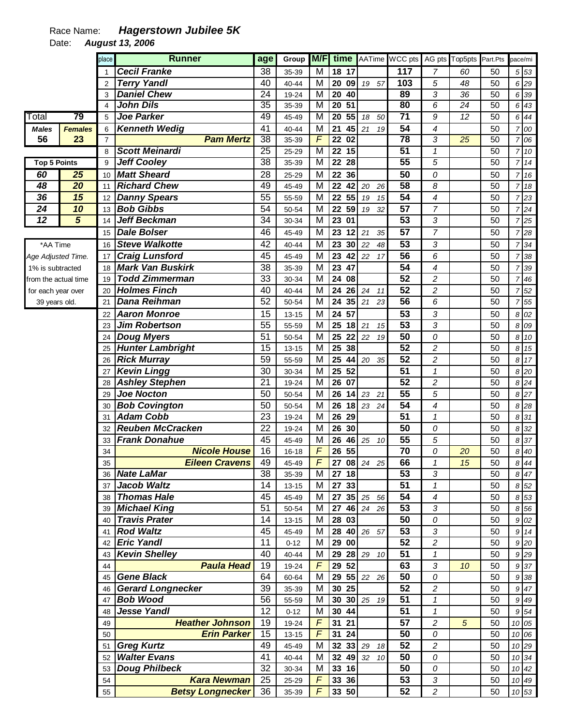## Race Name: **Hagerstown Jubilee 5K**

Date: **August 13, 2006** 

|                      |                 | place          | <b>Runner</b>                              | age                   | Group          | M/F            | time                               |                   | AATime WCC pts        |                     | AG pts Top5pts  | Part.Pts        | pace/mi        |              |
|----------------------|-----------------|----------------|--------------------------------------------|-----------------------|----------------|----------------|------------------------------------|-------------------|-----------------------|---------------------|-----------------|-----------------|----------------|--------------|
|                      |                 |                | <b>Cecil Franke</b>                        | 38                    | 35-39          | M              | 18 17                              |                   | 117                   | 7                   | 60              | 50              |                | 5 53         |
|                      |                 | $\overline{2}$ | <b>Terry Yandl</b>                         | 40                    | 40-44          | M              | 20<br>09                           | 19 57             | 103                   | 5                   | 48              | 50              |                | 6 29         |
|                      |                 | 3              | <b>Daniel Chew</b>                         | 24                    | 19-24          | M              | 20<br>40                           |                   | 89                    | 3                   | 36              | 50              | 6              | 39           |
|                      |                 | 4              | <b>John Dils</b>                           | $\overline{35}$       | 35-39          | M              | 20<br>$\overline{51}$              |                   | 80                    | 6                   | $\overline{24}$ | $\overline{50}$ | 6              | 43           |
| Total                | 79              | 5              | <b>Joe Parker</b>                          | 49                    | 45-49          | М              | $\overline{20}$<br>55              | 18<br>50          | 71                    | $\overline{g}$      | 12              | 50              | 6              | 44           |
| <b>Males</b>         | <b>Females</b>  | 6              | <b>Kenneth Wedig</b>                       | 41                    | 40-44          | M              | 21<br>45                           | 21<br>19          | $\overline{54}$       | $\overline{4}$      |                 | 50              | 7              | 00           |
| 56                   | 23              | $\overline{7}$ | <b>Pam Mertz</b>                           | 38                    | 35-39          | $\overline{F}$ | 22 02                              |                   | 78                    | 3                   | $\overline{25}$ | $\overline{50}$ | 7              | 06           |
|                      |                 | 8              | <b>Scott Meinardi</b>                      | $\overline{25}$       | 25-29          | M              | $22$ 15                            |                   | $\overline{51}$       | $\mathbf{1}$        |                 | $\overline{50}$ | $\overline{7}$ | 10           |
| <b>Top 5 Points</b>  |                 | 9              | <b>Jeff Cooley</b>                         | 38                    | 35-39          | M              | $\overline{22}$<br>$\overline{28}$ |                   | 55                    | 5                   |                 | $\overline{50}$ |                | 714          |
| 60                   | $\overline{25}$ | 10             | <b>Matt Sheard</b>                         | 28                    | 25-29          | M              | 22<br>36                           |                   | $\overline{50}$       | 0                   |                 | 50              |                | 7 16         |
| 48                   | $\overline{20}$ | 11             | <b>Richard Chew</b>                        | 49                    | 45-49          | M              | 22<br>42                           | 20<br>26          | 58                    | 8                   |                 | 50              | 7              | 18           |
| 36                   | 15              | 12             | <b>Danny Spears</b>                        | 55                    | 55-59          | M              | 22<br>55                           | 15<br>19          | $\overline{54}$       | 4                   |                 | 50              | $\overline{7}$ | 23           |
| 24                   | 10              | 13             | <b>Bob Gibbs</b>                           | 54                    | 50-54          | M              | 22<br>59                           | 32<br>19          | $\overline{57}$       | 7                   |                 | 50              |                | 724          |
| $\overline{12}$      | 5               | 14             | Jeff Beckman                               | 34                    | 30-34          | M              | 23<br>01                           |                   | $\overline{53}$       | 3                   |                 | 50              |                | 725          |
|                      |                 | 15             | <b>Dale Bolser</b>                         | 46                    | 45-49          | M              | 23<br>12                           | 21<br>35          | $\overline{57}$       | 7                   |                 | 50              |                | 7 28         |
| *AA Time             |                 | 16             | <b>Steve Walkotte</b>                      | 42                    | 40-44          | M              | 23<br>30                           | 22<br>48          | 53                    | 3                   |                 | 50              | 7              | 34           |
| Age Adjusted Time.   |                 | 17             | <b>Craig Lunsford</b>                      | 45                    | 45-49          | M              | 23<br>42                           | 22<br>17          | 56                    | 6                   |                 | 50              | 7              | 38           |
| 1% is subtracted     |                 | 18             | <b>Mark Van Buskirk</b>                    | 38                    | 35-39          | M              | 23<br>47                           |                   | $\overline{54}$       | 4                   |                 | 50              |                | 7 39         |
| from the actual time |                 | 19             | <b>Todd Zimmerman</b>                      | 33                    | 30-34          | M              | 24<br>08                           |                   | $\overline{52}$       | $\overline{c}$      |                 | 50              |                | $7 \, 46$    |
| for each year over   |                 | 20             | <b>Holmes Finch</b>                        | 40                    | 40-44          | M              | 24<br>26                           | 24<br>11          | $\overline{52}$       | $\overline{c}$      |                 | 50              |                | 52           |
| 39 years old.        |                 | 21             | <b>Dana Reihman</b>                        | $\overline{52}$       | 50-54          | M              | 24<br>35                           | 21<br>23          | 56                    | 6                   |                 | 50              | 7              | 55           |
|                      |                 | 22             | <b>Aaron Monroe</b>                        | 15                    | $13 - 15$      | M              | 24<br>57                           |                   | $\overline{53}$       | 3                   |                 | 50              |                | 8 02         |
|                      |                 | 23             | <b>Jim Robertson</b>                       | 55                    | 55-59          | M              | 25<br>18                           | 21<br>15          | 53                    | 3                   |                 | 50              |                | 8 0 9        |
|                      |                 | 24             | <b>Doug Myers</b>                          | 51                    | 50-54          | M              | 25<br>22                           | 22<br>19          | $\overline{50}$       | 0                   |                 | 50              |                | 8 10         |
|                      |                 | 25             | <b>Hunter Lambright</b>                    | 15                    | $13 - 15$      | M              | 25<br>38                           |                   | $\overline{52}$       | $\overline{c}$      |                 | 50              |                | 8 15         |
|                      |                 | 26             | <b>Rick Murray</b>                         | 59                    | 55-59          | M              | 25<br>44                           | 20<br>35          | $\overline{52}$       | $\overline{c}$      |                 | 50              |                | 8 17         |
|                      |                 | 27             | <b>Kevin Lingg</b>                         | 30<br>$\overline{21}$ | 30-34          | M              | 25<br>52                           |                   | $\overline{51}$<br>52 | $\mathbf{1}$        |                 | 50              |                | 8 20         |
|                      |                 | 28             | <b>Ashley Stephen</b><br><b>Joe Nocton</b> | 50                    | 19-24          | M<br>M         | 26<br>07<br>14                     |                   | $\overline{55}$       | $\overline{c}$<br>5 |                 | 50<br>50        |                | 8 24         |
|                      |                 | 29             | <b>Bob Covington</b>                       | 50                    | 50-54<br>50-54 | M              | 26<br>26<br>18                     | 23<br>21<br>23 24 | $\overline{54}$       | 4                   |                 | 50              |                | 8 27<br>8 28 |
|                      |                 | 30<br>31       | <b>Adam Cobb</b>                           | 23                    | 19-24          | M              | 26<br>29                           |                   | $\overline{51}$       | $\mathcal I$        |                 | 50              |                | 8 31         |
|                      |                 | 32             | <b>Reuben McCracken</b>                    | 22                    | 19-24          | M              | 26<br>30                           |                   | $\overline{50}$       | 0                   |                 | 50              | 8              | 32           |
|                      |                 | 33             | <b>Frank Donahue</b>                       | 45                    | 45-49          | M              | 26<br>46                           | 25<br>10          | $\overline{55}$       | 5                   |                 | 50              |                | 8 37         |
|                      |                 | 34             | <b>Nicole House</b>                        | 16                    | $16 - 18$      | $\sqrt{F}$     | 26<br>55                           |                   | 70                    | 0                   | 20              | 50              |                | 8 40         |
|                      |                 | 35             | <b>Eileen Cravens</b>                      | 49                    | 45-49          | $\overline{F}$ |                                    | 27 08 24 25       | 66                    | $\mathbf 1$         | 15              | 50              |                | 8 4 4        |
|                      |                 |                | 36 Nate LaMar                              | 38                    | 35-39          | M              | 27 18                              |                   | 53                    | 3                   |                 | 50              |                | 847          |
|                      |                 | 37             | <b>Jacob Waltz</b>                         | 14                    | $13 - 15$      | M              | 27 33                              |                   | 51                    | $\mathcal I$        |                 | 50              |                | 8 52         |
|                      |                 | 38             | <b>Thomas Hale</b>                         | 45                    | 45-49          | M              |                                    | 27 35 25 56       | 54                    | 4                   |                 | 50              |                | 8 53         |
|                      |                 | 39             | <b>Michael King</b>                        | 51                    | 50-54          | М              |                                    | 27 46 24 26       | 53                    | 3                   |                 | 50              |                | 8 56         |
|                      |                 | 40             | <b>Travis Prater</b>                       | 14                    | $13 - 15$      | M              | 28 03                              |                   | 50                    | 0                   |                 | 50              |                | 9 02         |
|                      |                 | 41             | <b>Rod Waltz</b>                           | 45                    | 45-49          | M              |                                    | 28 40 26 57       | 53                    | $\overline{3}$      |                 | 50              |                | 9 14         |
|                      |                 | 42             | <b>Eric Yandl</b>                          | 11                    | $0 - 12$       | M              | 29 00                              |                   | $\overline{52}$       | $\overline{c}$      |                 | 50              |                | 9 20         |
|                      |                 | 43             | <b>Kevin Shelley</b>                       | 40                    | 40-44          | М              |                                    | 29 28 29 10       | $\overline{51}$       | 1                   |                 | 50              |                | 9 29         |
|                      |                 | 44             | <b>Paula Head</b>                          | 19                    | 19-24          | $\digamma$     | 29 52                              |                   | 63                    | 3                   | 10              | 50              |                | 9 37         |
|                      |                 | 45             | <b>Gene Black</b>                          | 64                    | 60-64          | М              |                                    | 29 55 22 26       | 50                    | 0                   |                 | 50              |                | 9 38         |
|                      |                 | 46             | <b>Gerard Longnecker</b>                   | 39                    | 35-39          | M              | 30 25                              |                   | 52                    | $\overline{c}$      |                 | 50              |                | 9 47         |
|                      |                 | 47             | <b>Bob Wood</b>                            | 56                    | 55-59          | M              | 30                                 | 30 25 19          | 51                    | 1                   |                 | 50              |                | 9 4 9        |
|                      |                 | 48             | <b>Jesse Yandl</b>                         | 12                    | $0 - 12$       | M              | 30 44                              |                   | 51                    | $\mathcal I$        |                 | 50              |                | 9 54         |
|                      |                 | 49             | <b>Heather Johnson</b>                     | 19                    | 19-24          | $\overline{F}$ | 31<br>21                           |                   | 57                    | $\overline{c}$      | 5               | 50              |                | 10 05        |
|                      |                 | 50             | <b>Erin Parker</b>                         | 15                    | $13 - 15$      | $\overline{F}$ | 31<br>24                           |                   | 50                    | 0                   |                 | 50              |                | 10 06        |
|                      |                 | 51             | <b>Greg Kurtz</b>                          | 49                    | 45-49          | M              | 32 33 29                           | 18                | $\overline{52}$       | $\overline{c}$      |                 | 50              |                | 10 29        |
|                      |                 | 52             | <b>Walter Evans</b>                        | 41                    | 40-44          | M              | 32 49 32                           | 10                | 50                    | 0                   |                 | 50              |                | 10 34        |
|                      |                 | 53             | <b>Doug Philbeck</b>                       | $\overline{32}$       | 30-34          | M              | 33 16                              |                   | 50                    | 0                   |                 | 50              |                | 10 42        |
|                      |                 | 54             | <b>Kara Newman</b>                         | 25                    | 25-29          | $\sqrt{ }$     | 33 36                              |                   | 53                    | 3                   |                 | 50              |                | 10 49        |
|                      |                 | 55             | <b>Betsy Longnecker</b>                    | 36                    | 35-39          | F              | 33 50                              |                   | 52                    | $\sqrt{2}$          |                 | 50              |                | 10 53        |